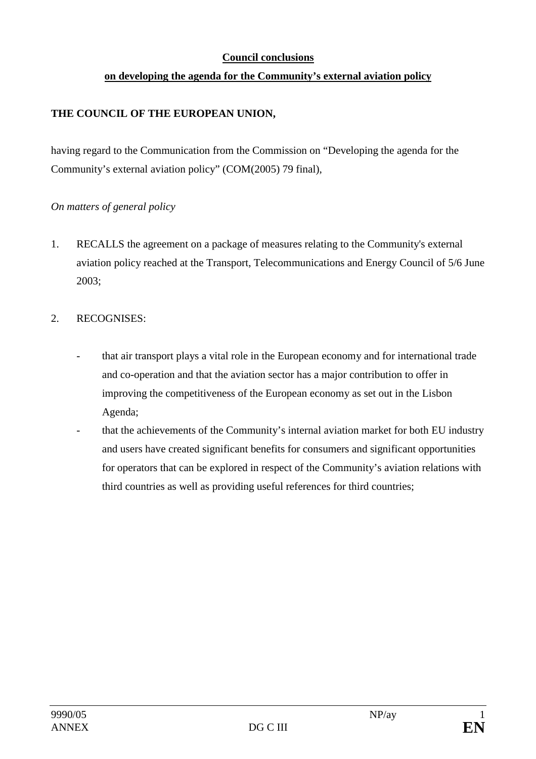## **Council conclusions**

## **on developing the agenda for the Community's external aviation policy**

## **THE COUNCIL OF THE EUROPEAN UNION,**

having regard to the Communication from the Commission on "Developing the agenda for the Community's external aviation policy" (COM(2005) 79 final),

#### *On matters of general policy*

1. RECALLS the agreement on a package of measures relating to the Community's external aviation policy reached at the Transport, Telecommunications and Energy Council of 5/6 June 2003;

#### 2. RECOGNISES:

- that air transport plays a vital role in the European economy and for international trade and co-operation and that the aviation sector has a major contribution to offer in improving the competitiveness of the European economy as set out in the Lisbon Agenda;
- that the achievements of the Community's internal aviation market for both EU industry and users have created significant benefits for consumers and significant opportunities for operators that can be explored in respect of the Community's aviation relations with third countries as well as providing useful references for third countries;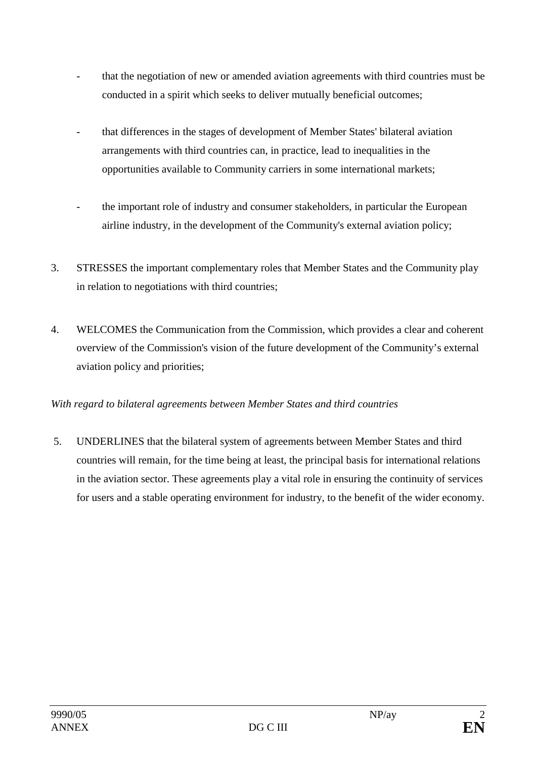- that the negotiation of new or amended aviation agreements with third countries must be conducted in a spirit which seeks to deliver mutually beneficial outcomes;
- that differences in the stages of development of Member States' bilateral aviation arrangements with third countries can, in practice, lead to inequalities in the opportunities available to Community carriers in some international markets;
- the important role of industry and consumer stakeholders, in particular the European airline industry, in the development of the Community's external aviation policy;
- 3. STRESSES the important complementary roles that Member States and the Community play in relation to negotiations with third countries;
- 4. WELCOMES the Communication from the Commission, which provides a clear and coherent overview of the Commission's vision of the future development of the Community's external aviation policy and priorities;

## *With regard to bilateral agreements between Member States and third countries*

5. UNDERLINES that the bilateral system of agreements between Member States and third countries will remain, for the time being at least, the principal basis for international relations in the aviation sector. These agreements play a vital role in ensuring the continuity of services for users and a stable operating environment for industry, to the benefit of the wider economy.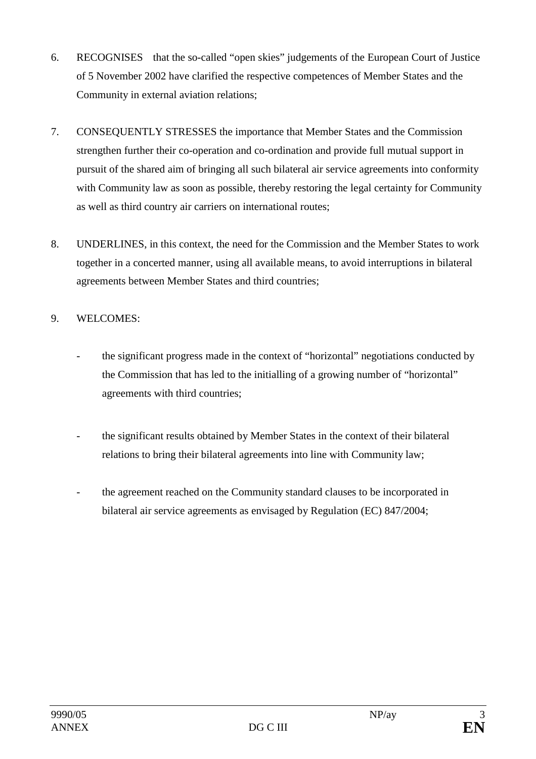- 6. RECOGNISES that the so-called "open skies" judgements of the European Court of Justice of 5 November 2002 have clarified the respective competences of Member States and the Community in external aviation relations;
- 7. CONSEQUENTLY STRESSES the importance that Member States and the Commission strengthen further their co-operation and co-ordination and provide full mutual support in pursuit of the shared aim of bringing all such bilateral air service agreements into conformity with Community law as soon as possible, thereby restoring the legal certainty for Community as well as third country air carriers on international routes;
- 8. UNDERLINES, in this context, the need for the Commission and the Member States to work together in a concerted manner, using all available means, to avoid interruptions in bilateral agreements between Member States and third countries;

# 9. WELCOMES:

- the significant progress made in the context of "horizontal" negotiations conducted by the Commission that has led to the initialling of a growing number of "horizontal" agreements with third countries;
- the significant results obtained by Member States in the context of their bilateral relations to bring their bilateral agreements into line with Community law;
- the agreement reached on the Community standard clauses to be incorporated in bilateral air service agreements as envisaged by Regulation (EC) 847/2004;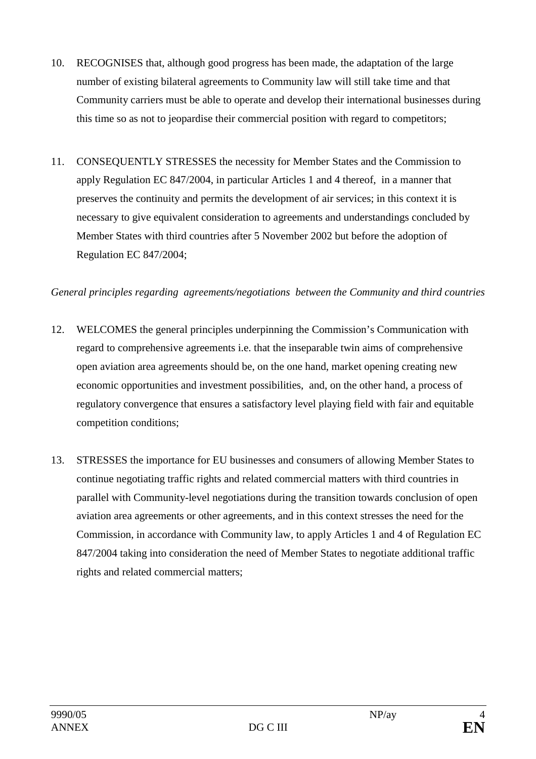- 10. RECOGNISES that, although good progress has been made, the adaptation of the large number of existing bilateral agreements to Community law will still take time and that Community carriers must be able to operate and develop their international businesses during this time so as not to jeopardise their commercial position with regard to competitors;
- 11. CONSEQUENTLY STRESSES the necessity for Member States and the Commission to apply Regulation EC 847/2004, in particular Articles 1 and 4 thereof, in a manner that preserves the continuity and permits the development of air services; in this context it is necessary to give equivalent consideration to agreements and understandings concluded by Member States with third countries after 5 November 2002 but before the adoption of Regulation EC 847/2004;

#### *General principles regarding agreements/negotiations between the Community and third countries*

- 12. WELCOMES the general principles underpinning the Commission's Communication with regard to comprehensive agreements i.e. that the inseparable twin aims of comprehensive open aviation area agreements should be, on the one hand, market opening creating new economic opportunities and investment possibilities, and, on the other hand, a process of regulatory convergence that ensures a satisfactory level playing field with fair and equitable competition conditions;
- 13. STRESSES the importance for EU businesses and consumers of allowing Member States to continue negotiating traffic rights and related commercial matters with third countries in parallel with Community-level negotiations during the transition towards conclusion of open aviation area agreements or other agreements, and in this context stresses the need for the Commission, in accordance with Community law, to apply Articles 1 and 4 of Regulation EC 847/2004 taking into consideration the need of Member States to negotiate additional traffic rights and related commercial matters;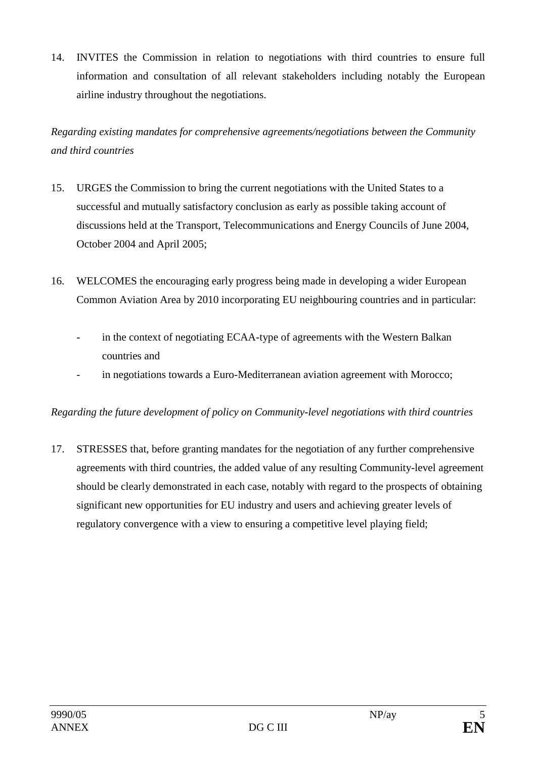14. INVITES the Commission in relation to negotiations with third countries to ensure full information and consultation of all relevant stakeholders including notably the European airline industry throughout the negotiations.

*Regarding existing mandates for comprehensive agreements/negotiations between the Community and third countries* 

- 15. URGES the Commission to bring the current negotiations with the United States to a successful and mutually satisfactory conclusion as early as possible taking account of discussions held at the Transport, Telecommunications and Energy Councils of June 2004, October 2004 and April 2005;
- 16. WELCOMES the encouraging early progress being made in developing a wider European Common Aviation Area by 2010 incorporating EU neighbouring countries and in particular:
	- in the context of negotiating ECAA-type of agreements with the Western Balkan countries and
	- in negotiations towards a Euro-Mediterranean aviation agreement with Morocco;

# *Regarding the future development of policy on Community-level negotiations with third countries*

17. STRESSES that, before granting mandates for the negotiation of any further comprehensive agreements with third countries, the added value of any resulting Community-level agreement should be clearly demonstrated in each case, notably with regard to the prospects of obtaining significant new opportunities for EU industry and users and achieving greater levels of regulatory convergence with a view to ensuring a competitive level playing field;